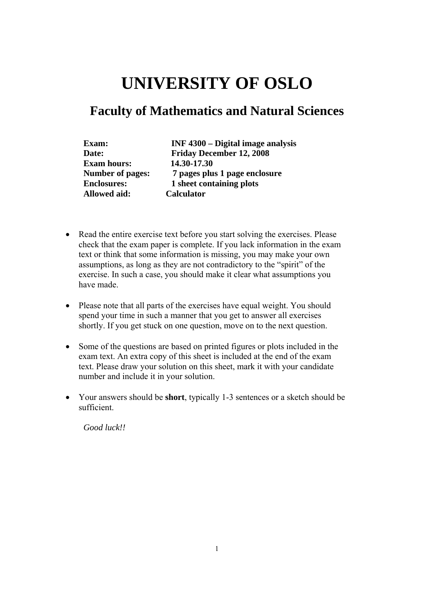# **UNIVERSITY OF OSLO**

## **Faculty of Mathematics and Natural Sciences**

| Exam:                   | <b>INF</b> 4300 – Digital image analysis |
|-------------------------|------------------------------------------|
| Date:                   | <b>Friday December 12, 2008</b>          |
| <b>Exam hours:</b>      | 14.30-17.30                              |
| <b>Number of pages:</b> | 7 pages plus 1 page enclosure            |
| <b>Enclosures:</b>      | 1 sheet containing plots                 |
| <b>Allowed aid:</b>     | <b>Calculator</b>                        |

- Read the entire exercise text before you start solving the exercises. Please check that the exam paper is complete. If you lack information in the exam text or think that some information is missing, you may make your own assumptions, as long as they are not contradictory to the "spirit" of the exercise. In such a case, you should make it clear what assumptions you have made.
- Please note that all parts of the exercises have equal weight. You should spend your time in such a manner that you get to answer all exercises shortly. If you get stuck on one question, move on to the next question.
- Some of the questions are based on printed figures or plots included in the exam text. An extra copy of this sheet is included at the end of the exam text. Please draw your solution on this sheet, mark it with your candidate number and include it in your solution.
- Your answers should be **short**, typically 1-3 sentences or a sketch should be sufficient.

*Good luck!!*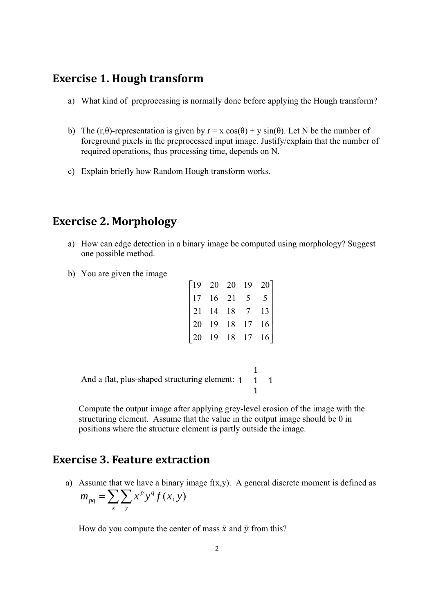#### **Exercise 1. Hough transform**

- a) What kind of preprocessing is normally done before applying the Hough transform?
- b) The (r,θ)-representation is given by  $r = x \cos(\theta) + y \sin(\theta)$ . Let N be the number of foreground pixels in the preprocessed input image. Justify/explain that the number of required operations, thus processing time, depends on N.
- c) Explain briefly how Random Hough transform works.

## **Exercise 2. Morphology**

- a) How can edge detection in a binary image be computed using morphology? Suggest one possible method.
- b) You are given the image

| $\begin{bmatrix} 19 & 20 & 20 & 19 & 20 \\ 17 & 16 & 21 & 5 & 5 \\ 21 & 14 & 18 & 7 & 13 \\ 20 & 19 & 18 & 17 & 16 \\ 20 & 19 & 18 & 17 & 16 \end{bmatrix}$ |  |  |
|-------------------------------------------------------------------------------------------------------------------------------------------------------------|--|--|
|                                                                                                                                                             |  |  |

And a flat, plus-shaped structuring element: 1 1 1 1 <sup>1</sup>

> Compute the output image after applying grey-level erosion of the image with the structuring element. Assume that the value in the output image should be 0 in positions where the structure element is partly outside the image.

#### **Exercise 3. Feature extraction**

a) Assume that we have a binary image  $f(x,y)$ . A general discrete moment is defined as  $=\sum\sum$ *x y*  $m_{pq} = \sum \sum x^p y^q f(x, y)$ 

How do you compute the center of mass  $\bar{x}$  and  $\bar{y}$  from this?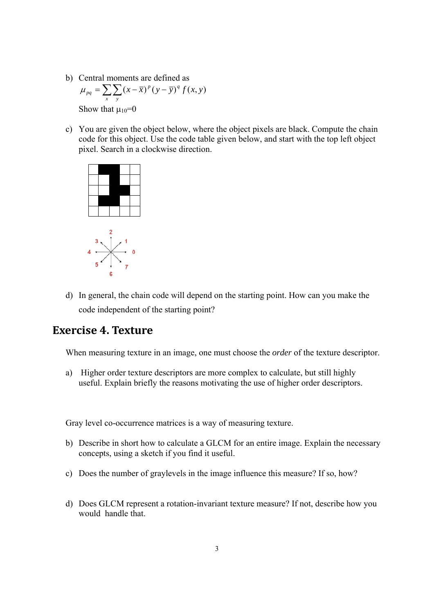- b) Central moments are defined as  $\mu_{pq} = \sum_{x} \sum_{y} (x - \bar{x})^p (y - \bar{y})^q f(x, y)$ Show that  $\mu_{10}=0$
- c) You are given the object below, where the object pixels are black. Compute the chain code for this object. Use the code table given below, and start with the top left object pixel. Search in a clockwise direction.



d) In general, the chain code will depend on the starting point. How can you make the code independent of the starting point?

### **Exercise 4. Texture**

When measuring texture in an image, one must choose the *order* of the texture descriptor.

a) Higher order texture descriptors are more complex to calculate, but still highly useful. Explain briefly the reasons motivating the use of higher order descriptors.

Gray level co-occurrence matrices is a way of measuring texture.

- b) Describe in short how to calculate a GLCM for an entire image. Explain the necessary concepts, using a sketch if you find it useful.
- c) Does the number of graylevels in the image influence this measure? If so, how?
- d) Does GLCM represent a rotation-invariant texture measure? If not, describe how you would handle that.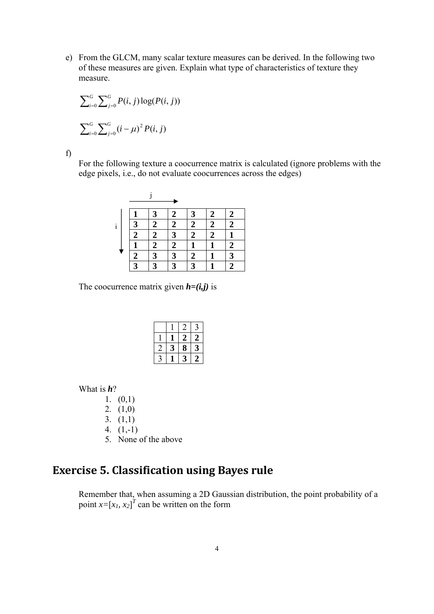e) From the GLCM, many scalar texture measures can be derived. In the following two of these measures are given. Explain what type of characteristics of texture they measure.

$$
\sum_{i=0}^{G} \sum_{j=0}^{G} P(i, j) \log(P(i, j))
$$
  

$$
\sum_{i=0}^{G} \sum_{j=0}^{G} (i - \mu)^{2} P(i, j)
$$

f)

For the following texture a coocurrence matrix is calculated (ignore problems with the edge pixels, i.e., do not evaluate coocurrences across the edges)

|              |                         | $\mathbf{3}$            | 2              | 3                       | 2              | 2              |
|--------------|-------------------------|-------------------------|----------------|-------------------------|----------------|----------------|
| $\mathbf{i}$ | 3                       | $\overline{2}$          | $\overline{2}$ | $\overline{2}$          | $\overline{2}$ | $\overline{2}$ |
|              | $\overline{\mathbf{c}}$ | 2                       | 3              | 2                       | $\overline{2}$ |                |
|              |                         | 2                       | $\overline{2}$ |                         |                | 2              |
|              | $\boldsymbol{2}$        | $\mathbf{r}$            | 3              | 2                       |                | 3              |
|              | $\mathbf{z}$            | $\overline{\mathbf{r}}$ | 3              | $\overline{\mathbf{r}}$ |                |                |

The coocurrence matrix given  $h=(i,j)$  is

|  | 2 | 2 |
|--|---|---|
|  | 8 | 3 |
|  |   | 7 |

What is *h*?

1.  $(0,1)$ 

2.  $(1,0)$ 

3.  $(1,1)$ 

4. (1,-1)

5. None of the above

## **Exercise 5. Classification using Bayes rule**

Remember that, when assuming a 2D Gaussian distribution, the point probability of a point  $x=[x_1, x_2]^T$  can be written on the form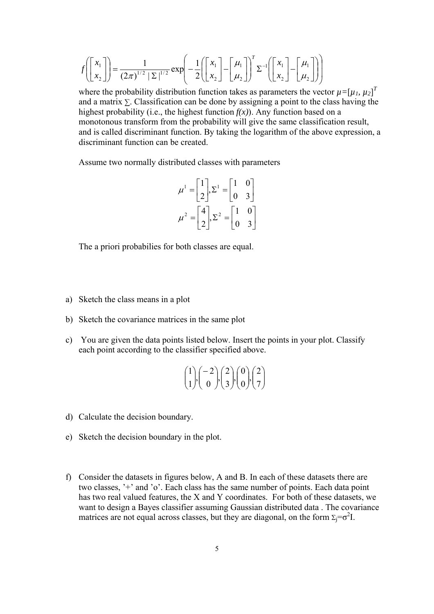$$
f\left(\begin{bmatrix} x_1 \\ x_2 \end{bmatrix}\right) = \frac{1}{(2\pi)^{1/2} |\Sigma|^{1/2}} \exp\left(-\frac{1}{2}\left(\begin{bmatrix} x_1 \\ x_2 \end{bmatrix} - \begin{bmatrix} \mu_1 \\ \mu_2 \end{bmatrix}\right)^T \Sigma^{-1}\left(\begin{bmatrix} x_1 \\ x_2 \end{bmatrix} - \begin{bmatrix} \mu_1 \\ \mu_2 \end{bmatrix}\right)\right)
$$

where the probability distribution function takes as parameters the vector  $\mu = [\mu_1, \mu_2]^T$ and a matrix  $\Sigma$ . Classification can be done by assigning a point to the class having the highest probability (i.e., the highest function  $f(x)$ ). Any function based on a monotonous transform from the probability will give the same classification result, and is called discriminant function. By taking the logarithm of the above expression, a discriminant function can be created.

Assume two normally distributed classes with parameters

$$
\mu^1 = \begin{bmatrix} 1 \\ 2 \end{bmatrix}, \Sigma^1 = \begin{bmatrix} 1 & 0 \\ 0 & 3 \end{bmatrix}
$$

$$
\mu^2 = \begin{bmatrix} 4 \\ 2 \end{bmatrix}, \Sigma^2 = \begin{bmatrix} 1 & 0 \\ 0 & 3 \end{bmatrix}
$$

The a priori probabilies for both classes are equal.

- a) Sketch the class means in a plot
- b) Sketch the covariance matrices in the same plot
- c) You are given the data points listed below. Insert the points in your plot. Classify each point according to the classifier specified above.

$$
\begin{pmatrix} 1 \\ 1 \end{pmatrix}, \begin{pmatrix} -2 \\ 0 \end{pmatrix}, \begin{pmatrix} 2 \\ 3 \end{pmatrix}, \begin{pmatrix} 0 \\ 0 \end{pmatrix}, \begin{pmatrix} 2 \\ 7 \end{pmatrix}
$$

- d) Calculate the decision boundary.
- e) Sketch the decision boundary in the plot.
- f) Consider the datasets in figures below, A and B. In each of these datasets there are two classes, '+' and 'o'. Each class has the same number of points. Each data point has two real valued features, the X and Y coordinates.For both of these datasets, we want to design a Bayes classifier assuming Gaussian distributed data . The covariance matrices are not equal across classes, but they are diagonal, on the form  $\Sigma_j = \sigma^2 I$ .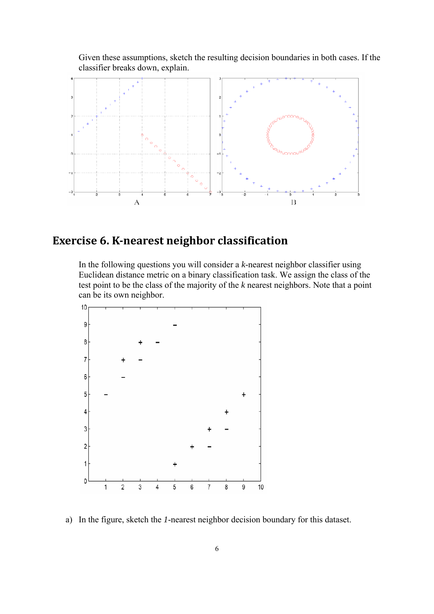

Given these assumptions, sketch the resulting decision boundaries in both cases. If the classifier breaks down, explain.

## **Exercise 6. Knearest neighbor classification**

In the following questions you will consider a *k*-nearest neighbor classifier using Euclidean distance metric on a binary classification task. We assign the class of the test point to be the class of the majority of the *k* nearest neighbors. Note that a point can be its own neighbor.



a) In the figure, sketch the *1*-nearest neighbor decision boundary for this dataset.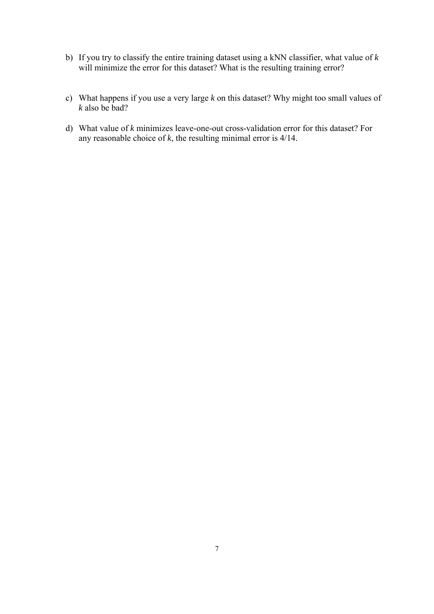- b) If you try to classify the entire training dataset using a kNN classifier, what value of *k* will minimize the error for this dataset? What is the resulting training error?
- c) What happens if you use a very large *k* on this dataset? Why might too small values of *k* also be bad?
- d) What value of *k* minimizes leave-one-out cross-validation error for this dataset? For any reasonable choice of *k*, the resulting minimal error is 4/14.